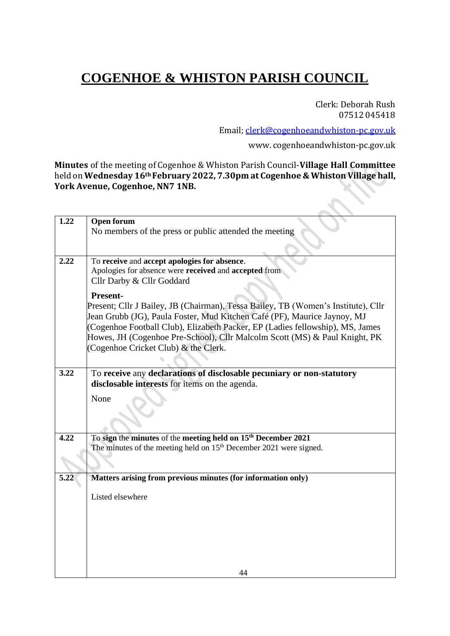# **COGENHOE & WHISTON PARISH COUNCIL**

Clerk: Deborah Rush 07512 045418

Email; [clerk@cogenhoeandwhiston-pc.gov.uk](mailto:clerk@cogenhoeandwhiston-pc.gov.uk)

[www.](http://www/) cogenhoeandwhiston-pc.gov.uk

**Minutes** of the meeting of Cogenhoe & Whiston Parish Council-**Village Hall Committee**  held on **Wednesday 16th February 2022, 7.30pm at Cogenhoe & Whiston Village hall, York Avenue, Cogenhoe, NN7 1NB.** S

| 1.22 | <b>Open forum</b>                                                                 |
|------|-----------------------------------------------------------------------------------|
|      | No members of the press or public attended the meeting                            |
|      |                                                                                   |
|      |                                                                                   |
| 2.22 | To receive and accept apologies for absence.                                      |
|      | Apologies for absence were received and accepted from                             |
|      | Cllr Darby & Cllr Goddard                                                         |
|      | Present-                                                                          |
|      | Present; Cllr J Bailey, JB (Chairman), Tessa Bailey, TB (Women's Institute), Cllr |
|      | Jean Grubb (JG), Paula Foster, Mud Kitchen Café (PF), Maurice Jaynoy, MJ          |
|      | (Cogenhoe Football Club), Elizabeth Packer, EP (Ladies fellowship), MS, James     |
|      | Howes, JH (Cogenhoe Pre-School), Cllr Malcolm Scott (MS) & Paul Knight, PK        |
|      | (Cogenhoe Cricket Club) & the Clerk.                                              |
|      |                                                                                   |
| 3.22 | To receive any declarations of disclosable pecuniary or non-statutory             |
|      | disclosable interests for items on the agenda.                                    |
|      |                                                                                   |
|      | None                                                                              |
|      |                                                                                   |
|      |                                                                                   |
| 4.22 | To sign the minutes of the meeting held on 15 <sup>th</sup> December 2021         |
|      | The minutes of the meeting held on 15 <sup>th</sup> December 2021 were signed.    |
|      |                                                                                   |
|      |                                                                                   |
| 5.22 | Matters arising from previous minutes (for information only)                      |
|      |                                                                                   |
|      | Listed elsewhere                                                                  |
|      |                                                                                   |
|      |                                                                                   |
|      |                                                                                   |
|      |                                                                                   |
|      |                                                                                   |
|      |                                                                                   |
|      | 44                                                                                |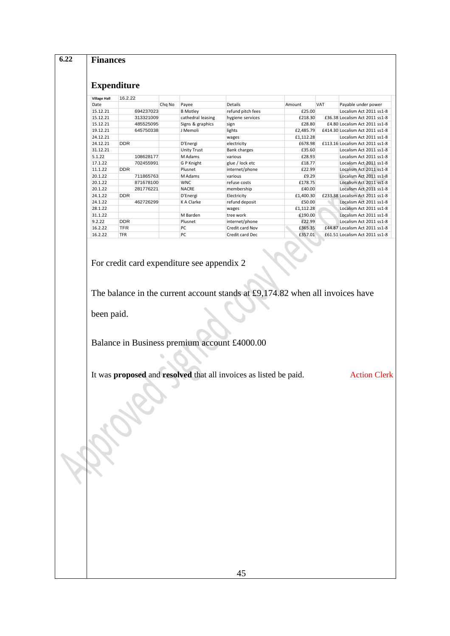| <b>Village Hall</b> | 16.2.22    |                                                                                                                                 |                   |           |     |                                 |
|---------------------|------------|---------------------------------------------------------------------------------------------------------------------------------|-------------------|-----------|-----|---------------------------------|
| Date                |            | Chq No<br>Payee                                                                                                                 | Details           | Amount    | VAT | Payable under power             |
| 15.12.21            | 694237023  | <b>B</b> Motley                                                                                                                 | refund pitch fees | £25.00    |     | Localism Act 2011 ss1-8         |
| 15.12.21            | 313321009  | cathedral leasing                                                                                                               | hygiene services  | £218.30   |     | £36.38 Localism Act 2011 ss1-8  |
| 15.12.21            | 485525095  | Signs & graphics                                                                                                                | sign              | £28.80    |     | £4.80 Localism Act 2011 ss1-8   |
| 19.12.21            | 645750338  | J Memoli                                                                                                                        | lights            | £2,485.79 |     | £414.30 Localism Act 2011 ss1-8 |
| 24.12.21            |            |                                                                                                                                 | wages             | £1,112.28 |     | Localism Act 2011 ss1-8         |
| 24.12.21            | <b>DDR</b> | D'Energi                                                                                                                        | electricity       | £678.98   |     | £113.16 Localism Act 2011 ss1-8 |
| 31.12.21            |            | <b>Unity Trust</b>                                                                                                              | Bank charges      | £35.60    |     | Localism Act 2011 ss1-8         |
| 5.1.22              | 108628177  | M Adams                                                                                                                         | various           | £28.93    |     | Localism Act 2011 ss1-8         |
| 17.1.22             | 702455991  | G P Knight                                                                                                                      | glue / lock etc   | £18.77    |     | Localism Act 2011 ss1-8         |
| 11.1.22             | <b>DDR</b> | Plusnet                                                                                                                         | internet/phone    | £22.99    |     | Localism Act 2011 ss1-8         |
| 20.1.22             | 711865763  | M Adams                                                                                                                         | various           | £9.29     |     | Localism Act 2011 ss1-8         |
| 20.1.22             | 871678100  | <b>WNC</b>                                                                                                                      | refuse costs      | £178.75   |     | Localism Act 2011 ss1-8         |
| 20.1.22             | 281776221  | <b>NACRE</b>                                                                                                                    | membership        | £40.00    |     | Localism Act 2011 ss1-8         |
| 24.1.22             | <b>DDR</b> | D'Energi                                                                                                                        | Electricity       | £1,400.30 |     | £233.38 Localism Act 2011 ss1-8 |
| 24.1.22             | 462726299  | K A Clarke                                                                                                                      | refund deposit    | £50.00    |     | Localism Act 2011 ss1-8         |
| 28.1.22             |            |                                                                                                                                 | wages             | £1,112.28 |     | Localism Act 2011 ss1-8         |
| 31.1.22             |            | M Barden                                                                                                                        | tree work         | £190.00   |     | Localism Act 2011 ss1-8         |
| 9.2.22              | <b>DDR</b> | Plusnet                                                                                                                         | internet/phone    | £22.99    |     | Localism Act 2011 ss1-8         |
| 16.2.22             | <b>TFR</b> | PC                                                                                                                              | Credit card Nov   | £365.35   |     | £44.87 Localism Act 2011 ss1-8  |
| 16.2.22             | <b>TFR</b> | PC                                                                                                                              | Credit card Dec   | £357.01   |     | £61.51 Localism Act 2011 ss1-8  |
| been paid.          |            | The balance in the current account stands at $£9,174.82$ when all invoices have<br>Balance in Business premium account £4000.00 |                   |           |     |                                 |
|                     |            | It was proposed and resolved that all invoices as listed be paid.                                                               |                   |           |     | <b>Action Clerk</b>             |
|                     |            |                                                                                                                                 |                   |           |     |                                 |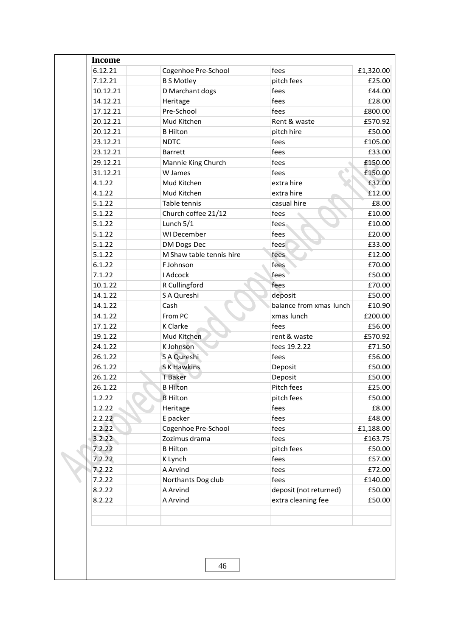| 6.12.21  | Cogenhoe Pre-School      | fees                    | £1,320.00 |
|----------|--------------------------|-------------------------|-----------|
| 7.12.21  | <b>B S Motley</b>        | pitch fees              | £25.00    |
| 10.12.21 | D Marchant dogs          | fees                    | £44.00    |
| 14.12.21 | Heritage                 | fees                    | £28.00    |
| 17.12.21 | Pre-School               | fees                    | £800.00   |
| 20.12.21 | Mud Kitchen              | Rent & waste            | £570.92   |
| 20.12.21 | <b>B</b> Hilton          | pitch hire              | £50.00    |
| 23.12.21 | <b>NDTC</b>              | fees                    | £105.00   |
| 23.12.21 | <b>Barrett</b>           | fees                    | £33.00    |
| 29.12.21 | Mannie King Church       | fees                    | £150.00   |
| 31.12.21 | W James                  | fees                    | £150.00   |
| 4.1.22   | Mud Kitchen              | extra hire              | £32.00    |
| 4.1.22   | Mud Kitchen              | extra hire              | £12.00    |
| 5.1.22   | Table tennis             | casual hire             | £8.00     |
| 5.1.22   | Church coffee 21/12      | fees                    | £10.00    |
| 5.1.22   | Lunch 5/1                | fees                    | £10.00    |
| 5.1.22   | WI December              | fees                    | £20.00    |
| 5.1.22   | DM Dogs Dec              | fees                    | £33.00    |
| 5.1.22   | M Shaw table tennis hire | fees                    | £12.00    |
| 6.1.22   | F Johnson                | fees                    | £70.00    |
| 7.1.22   | I Adcock                 | fees                    | £50.00    |
| 10.1.22  | R Cullingford            | fees                    | £70.00    |
| 14.1.22  | S A Qureshi              | deposit                 | £50.00    |
| 14.1.22  | Cash                     | balance from xmas lunch | £10.90    |
| 14.1.22  | From PC                  | xmas lunch              | £200.00   |
| 17.1.22  | K Clarke                 | fees                    | £56.00    |
| 19.1.22  | Mud Kitchen              | rent & waste            | £570.92   |
| 24.1.22  | K Johnson                | fees 19.2.22            | £71.50    |
| 26.1.22  | S A Qureshi              | fees                    | £56.00    |
| 26.1.22  | <b>SK Hawkins</b>        | Deposit                 | £50.00    |
| 26.1.22  | <b>T</b> Baker           | Deposit                 | £50.00    |
| 26.1.22  | <b>B</b> Hilton          | Pitch fees              | £25.00    |
| 1.2.22   | <b>B</b> Hilton          | pitch fees              | £50.00    |
| 1.2.22   | Heritage                 | fees                    | £8.00     |
| 2.2.22   | E packer                 | fees                    | £48.00    |
| 2.2.22   | Cogenhoe Pre-School      | fees                    | £1,188.00 |
| 3.2.22   | Zozimus drama            | fees                    | £163.75   |
| 7.2.22   | <b>B</b> Hilton          | pitch fees              | £50.00    |
| 7.2.22   | K Lynch                  | fees                    | £57.00    |
| 7.2.22   | A Arvind                 | fees                    | £72.00    |
| 7.2.22   | Northants Dog club       | fees                    | £140.00   |
| 8.2.22   | A Arvind                 | deposit (not returned)  | £50.00    |
| 8.2.22   | A Arvind                 | extra cleaning fee      | £50.00    |
|          |                          |                         |           |
|          | 46                       |                         |           |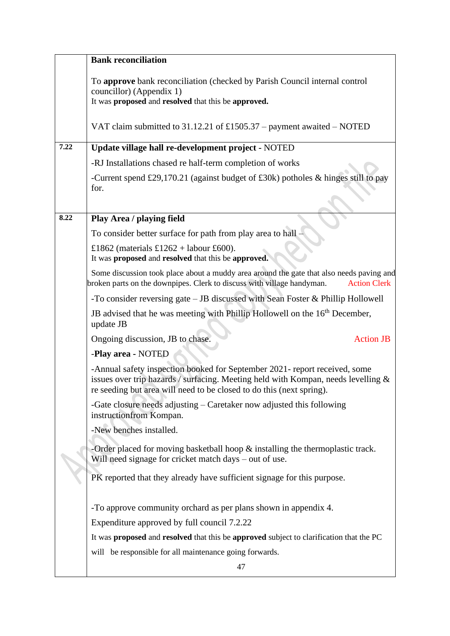|      | <b>Bank reconciliation</b>                                                                                                                                                                                                              |
|------|-----------------------------------------------------------------------------------------------------------------------------------------------------------------------------------------------------------------------------------------|
|      | To approve bank reconciliation (checked by Parish Council internal control<br>councillor) (Appendix 1)<br>It was proposed and resolved that this be approved.                                                                           |
|      | VAT claim submitted to $31.12.21$ of £1505.37 – payment awaited – NOTED                                                                                                                                                                 |
| 7.22 | Update village hall re-development project - NOTED                                                                                                                                                                                      |
|      | -RJ Installations chased re half-term completion of works                                                                                                                                                                               |
|      | -Current spend £29,170.21 (against budget of £30k) potholes $\&$ hinges still to pay<br>for.                                                                                                                                            |
| 8.22 | Play Area / playing field                                                                                                                                                                                                               |
|      | To consider better surface for path from play area to hall -                                                                                                                                                                            |
|      | £1862 (materials £1262 + labour £600).<br>It was proposed and resolved that this be approved.                                                                                                                                           |
|      | Some discussion took place about a muddy area around the gate that also needs paving and<br>broken parts on the downpipes. Clerk to discuss with village handyman.<br><b>Action Clerk</b>                                               |
|      | -To consider reversing gate $-$ JB discussed with Sean Foster & Phillip Hollowell                                                                                                                                                       |
|      | JB advised that he was meeting with Phillip Hollowell on the 16 <sup>th</sup> December,<br>update JB                                                                                                                                    |
|      | Ongoing discussion, JB to chase.<br><b>Action JB</b>                                                                                                                                                                                    |
|      | -Play area - NOTED                                                                                                                                                                                                                      |
|      | -Annual safety inspection booked for September 2021- report received, some<br>issues over trip hazards / surfacing. Meeting held with Kompan, needs levelling &<br>re seeding but area will need to be closed to do this (next spring). |
|      | -Gate closure needs adjusting – Caretaker now adjusted this following<br>instructionfrom Kompan.                                                                                                                                        |
|      | -New benches installed.                                                                                                                                                                                                                 |
|      | -Order placed for moving basketball hoop $\&$ installing the thermoplastic track.<br>Will need signage for cricket match days – out of use.                                                                                             |
|      | PK reported that they already have sufficient signage for this purpose.                                                                                                                                                                 |
|      | -To approve community orchard as per plans shown in appendix 4.                                                                                                                                                                         |
|      | Expenditure approved by full council 7.2.22                                                                                                                                                                                             |
|      | It was proposed and resolved that this be approved subject to clarification that the PC                                                                                                                                                 |
|      | will be responsible for all maintenance going forwards.                                                                                                                                                                                 |
|      | 47                                                                                                                                                                                                                                      |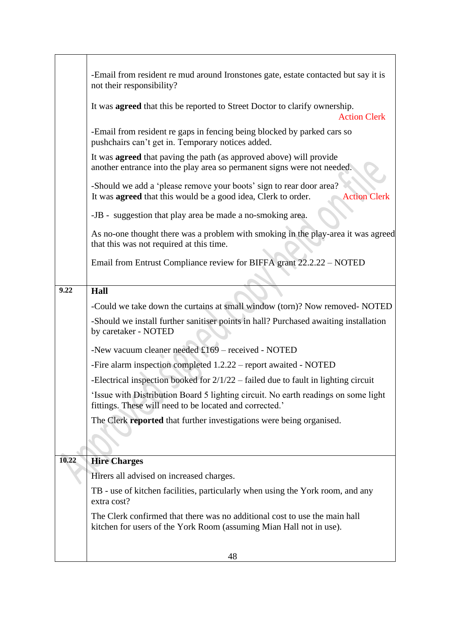|       | -Email from resident re mud around Ironstones gate, estate contacted but say it is<br>not their responsibility?                                                    |
|-------|--------------------------------------------------------------------------------------------------------------------------------------------------------------------|
|       | It was <b>agreed</b> that this be reported to Street Doctor to clarify ownership.<br><b>Action Clerk</b>                                                           |
|       | -Email from resident re gaps in fencing being blocked by parked cars so<br>pushchairs can't get in. Temporary notices added.                                       |
|       | It was <b>agreed</b> that paving the path (as approved above) will provide<br>another entrance into the play area so permanent signs were not needed.              |
|       | -Should we add a 'please remove your boots' sign to rear door area?<br>It was <b>agreed</b> that this would be a good idea, Clerk to order.<br><b>Action Clerk</b> |
|       | -JB - suggestion that play area be made a no-smoking area.                                                                                                         |
|       | As no-one thought there was a problem with smoking in the play-area it was agreed<br>that this was not required at this time.                                      |
|       | Email from Entrust Compliance review for BIFFA grant 22.2.22 - NOTED                                                                                               |
| 9.22  | Hall                                                                                                                                                               |
|       | -Could we take down the curtains at small window (torn)? Now removed- NOTED                                                                                        |
|       | -Should we install further sanitiser points in hall? Purchased awaiting installation<br>by caretaker - NOTED                                                       |
|       | -New vacuum cleaner needed $£169$ – received - NOTED                                                                                                               |
|       | -Fire alarm inspection completed 1.2.22 – report awaited - NOTED                                                                                                   |
|       | -Electrical inspection booked for $2/1/22$ – failed due to fault in lighting circuit                                                                               |
|       | 'Issue with Distribution Board 5 lighting circuit. No earth readings on some light<br>fittings. These will need to be located and corrected.'                      |
|       | The Clerk reported that further investigations were being organised.                                                                                               |
|       |                                                                                                                                                                    |
| 10.22 | <b>Hire Charges</b>                                                                                                                                                |
|       | Hirers all advised on increased charges.                                                                                                                           |
|       | TB - use of kitchen facilities, particularly when using the York room, and any<br>extra cost?                                                                      |
|       | The Clerk confirmed that there was no additional cost to use the main hall<br>kitchen for users of the York Room (assuming Mian Hall not in use).                  |
|       | 48                                                                                                                                                                 |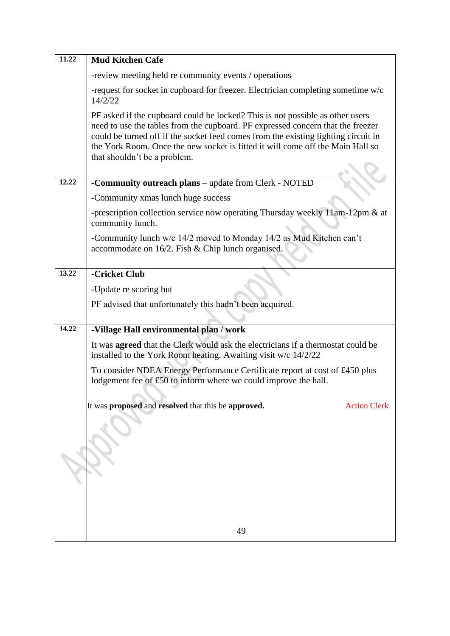| 11.22 | <b>Mud Kitchen Cafe</b>                                                                                                                                                                                                                                                                                                                                                  |
|-------|--------------------------------------------------------------------------------------------------------------------------------------------------------------------------------------------------------------------------------------------------------------------------------------------------------------------------------------------------------------------------|
|       | -review meeting held re community events / operations                                                                                                                                                                                                                                                                                                                    |
|       | -request for socket in cupboard for freezer. Electrician completing sometime w/c<br>14/2/22                                                                                                                                                                                                                                                                              |
|       | PF asked if the cupboard could be locked? This is not possible as other users<br>need to use the tables from the cupboard. PF expressed concern that the freezer<br>could be turned off if the socket feed comes from the existing lighting circuit in<br>the York Room. Once the new socket is fitted it will come off the Main Hall so<br>that shouldn't be a problem. |
| 12.22 | -Community outreach plans - update from Clerk - NOTED                                                                                                                                                                                                                                                                                                                    |
|       | -Community xmas lunch huge success                                                                                                                                                                                                                                                                                                                                       |
|       | -prescription collection service now operating Thursday weekly 11am-12pm & at<br>community lunch.                                                                                                                                                                                                                                                                        |
|       | -Community lunch w/c 14/2 moved to Monday 14/2 as Mud Kitchen can't<br>accommodate on $16/2$ . Fish & Chip lunch organised.                                                                                                                                                                                                                                              |
| 13.22 | -Cricket Club                                                                                                                                                                                                                                                                                                                                                            |
|       | -Update re scoring hut                                                                                                                                                                                                                                                                                                                                                   |
|       | PF advised that unfortunately this hadn't been acquired.                                                                                                                                                                                                                                                                                                                 |
|       |                                                                                                                                                                                                                                                                                                                                                                          |
| 14.22 | -Village Hall environmental plan / work                                                                                                                                                                                                                                                                                                                                  |
|       | It was <b>agreed</b> that the Clerk would ask the electricians if a thermostat could be<br>installed to the York Room heating. Awaiting visit w/c 14/2/22                                                                                                                                                                                                                |
|       | To consider NDEA Energy Performance Certificate report at cost of £450 plus<br>lodgement fee of £50 to inform where we could improve the hall.                                                                                                                                                                                                                           |
|       | It was proposed and resolved that this be approved.<br><b>Action Clerk</b>                                                                                                                                                                                                                                                                                               |
|       |                                                                                                                                                                                                                                                                                                                                                                          |
|       |                                                                                                                                                                                                                                                                                                                                                                          |
|       |                                                                                                                                                                                                                                                                                                                                                                          |
|       | 49                                                                                                                                                                                                                                                                                                                                                                       |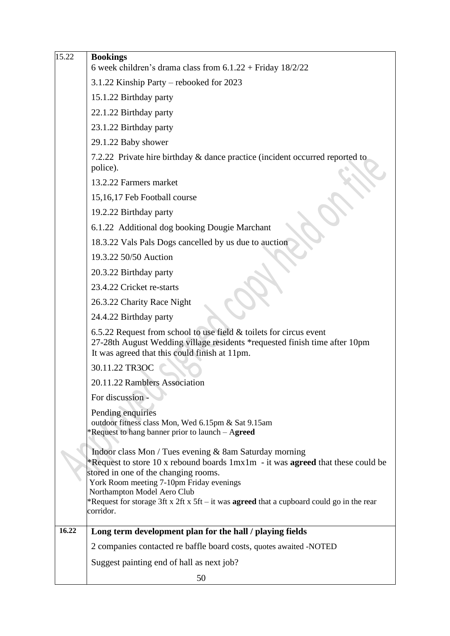| 15.22 | <b>Bookings</b><br>6 week children's drama class from $6.1.22 +$ Friday $18/2/22$                                                                                                                                                                                                                                                                                                    |
|-------|--------------------------------------------------------------------------------------------------------------------------------------------------------------------------------------------------------------------------------------------------------------------------------------------------------------------------------------------------------------------------------------|
|       | 3.1.22 Kinship Party – rebooked for 2023                                                                                                                                                                                                                                                                                                                                             |
|       | 15.1.22 Birthday party                                                                                                                                                                                                                                                                                                                                                               |
|       | 22.1.22 Birthday party                                                                                                                                                                                                                                                                                                                                                               |
|       | 23.1.22 Birthday party                                                                                                                                                                                                                                                                                                                                                               |
|       | 29.1.22 Baby shower                                                                                                                                                                                                                                                                                                                                                                  |
|       | 7.2.22 Private hire birthday & dance practice (incident occurred reported to                                                                                                                                                                                                                                                                                                         |
|       | police).                                                                                                                                                                                                                                                                                                                                                                             |
|       | 13.2.22 Farmers market                                                                                                                                                                                                                                                                                                                                                               |
|       | 15,16,17 Feb Football course                                                                                                                                                                                                                                                                                                                                                         |
|       | 19.2.22 Birthday party                                                                                                                                                                                                                                                                                                                                                               |
|       | 6.1.22 Additional dog booking Dougie Marchant                                                                                                                                                                                                                                                                                                                                        |
|       | 18.3.22 Vals Pals Dogs cancelled by us due to auction                                                                                                                                                                                                                                                                                                                                |
|       | 19.3.22 50/50 Auction                                                                                                                                                                                                                                                                                                                                                                |
|       | 20.3.22 Birthday party                                                                                                                                                                                                                                                                                                                                                               |
|       | 23.4.22 Cricket re-starts                                                                                                                                                                                                                                                                                                                                                            |
|       | 26.3.22 Charity Race Night                                                                                                                                                                                                                                                                                                                                                           |
|       | 24.4.22 Birthday party                                                                                                                                                                                                                                                                                                                                                               |
|       | $6.5.22$ Request from school to use field $&$ toilets for circus event<br>27-28th August Wedding village residents *requested finish time after 10pm<br>It was agreed that this could finish at 11pm.                                                                                                                                                                                |
|       | 30.11.22 TR3OC                                                                                                                                                                                                                                                                                                                                                                       |
|       | 20.11.22 Ramblers Association                                                                                                                                                                                                                                                                                                                                                        |
|       | For discussion                                                                                                                                                                                                                                                                                                                                                                       |
|       | Pending enquiries<br>outdoor fitness class Mon, Wed 6.15pm & Sat 9.15am<br>*Request to hang banner prior to launch – Agreed                                                                                                                                                                                                                                                          |
|       | Indoor class Mon / Tues evening & 8am Saturday morning<br>*Request to store 10 x rebound boards 1mx1m - it was <b>agreed</b> that these could be<br>stored in one of the changing rooms.<br>York Room meeting 7-10pm Friday evenings<br>Northampton Model Aero Club<br>*Request for storage 3ft x 2ft x 5ft – it was <b>agreed</b> that a cupboard could go in the rear<br>corridor. |
| 16.22 |                                                                                                                                                                                                                                                                                                                                                                                      |
|       | Long term development plan for the hall / playing fields                                                                                                                                                                                                                                                                                                                             |
|       | 2 companies contacted re baffle board costs, quotes awaited -NOTED                                                                                                                                                                                                                                                                                                                   |
|       | Suggest painting end of hall as next job?                                                                                                                                                                                                                                                                                                                                            |
|       | 50                                                                                                                                                                                                                                                                                                                                                                                   |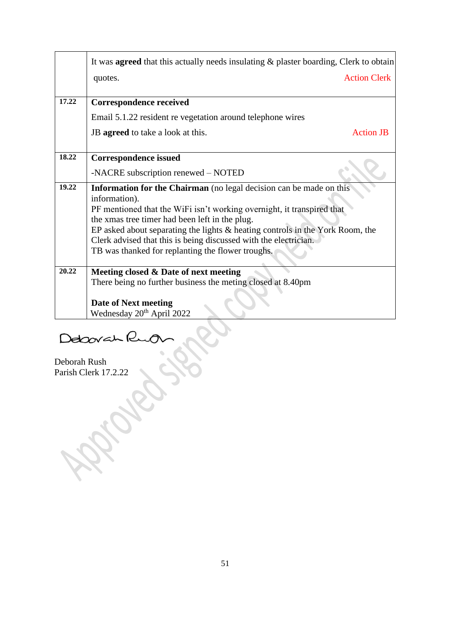|       | It was <b>agreed</b> that this actually needs insulating & plaster boarding, Clerk to obtain |
|-------|----------------------------------------------------------------------------------------------|
|       | <b>Action Clerk</b><br>quotes.                                                               |
| 17.22 |                                                                                              |
|       | <b>Correspondence received</b>                                                               |
|       | Email 5.1.22 resident re vegetation around telephone wires                                   |
|       | JB agreed to take a look at this.<br><b>Action JB</b>                                        |
| 18.22 |                                                                                              |
|       | <b>Correspondence issued</b>                                                                 |
|       | -NACRE subscription renewed – NOTED                                                          |
| 19.22 | <b>Information for the Chairman</b> (no legal decision can be made on this                   |
|       | information).                                                                                |
|       | PF mentioned that the WiFi isn't working overnight, it transpired that                       |
|       | the xmas tree timer had been left in the plug.                                               |
|       | EP asked about separating the lights $\&$ heating controls in the York Room, the             |
|       | Clerk advised that this is being discussed with the electrician.                             |
|       | TB was thanked for replanting the flower troughs.                                            |
| 20.22 | Meeting closed & Date of next meeting                                                        |
|       | There being no further business the meting closed at 8.40pm                                  |
|       | <b>Date of Next meeting</b>                                                                  |
|       | Wednesday 20 <sup>th</sup> April 2022                                                        |

Debovah Ruo

Deborah Rush Parish Clerk 17.2.22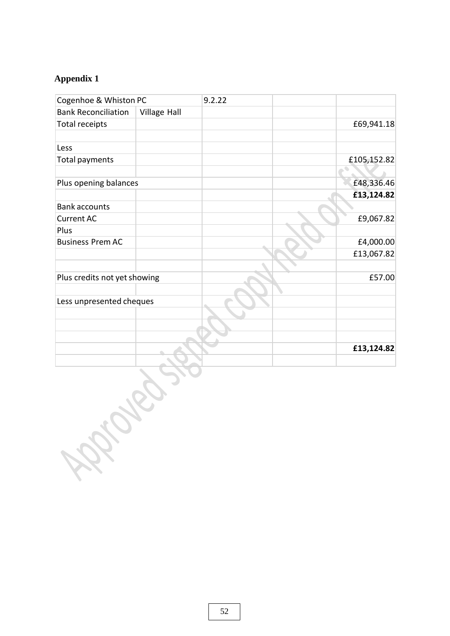### **Appendix 1**

| Cogenhoe & Whiston PC        |              | 9.2.22 |             |
|------------------------------|--------------|--------|-------------|
| <b>Bank Reconciliation</b>   | Village Hall |        |             |
| Total receipts               |              |        | £69,941.18  |
| Less                         |              |        |             |
| Total payments               |              |        | £105,152.82 |
|                              |              |        |             |
| Plus opening balances        |              |        | £48,336.46  |
|                              |              |        | £13,124.82  |
| <b>Bank accounts</b>         |              |        |             |
| <b>Current AC</b>            |              |        | £9,067.82   |
| Plus                         |              |        |             |
| <b>Business Prem AC</b>      |              |        | £4,000.00   |
|                              |              |        | £13,067.82  |
|                              |              |        |             |
| Plus credits not yet showing |              |        | £57.00      |
|                              |              |        |             |
| Less unpresented cheques     |              |        |             |
|                              |              |        |             |
|                              |              |        |             |
|                              |              |        |             |
|                              |              |        | £13,124.82  |
|                              |              |        |             |
|                              |              |        |             |
|                              |              |        |             |
|                              |              |        |             |
|                              |              |        |             |
|                              |              |        |             |
|                              |              |        |             |
|                              |              |        |             |
| <b>RA</b>                    |              |        |             |
|                              |              |        |             |
|                              |              |        |             |
|                              |              |        |             |
|                              |              |        |             |
|                              |              |        |             |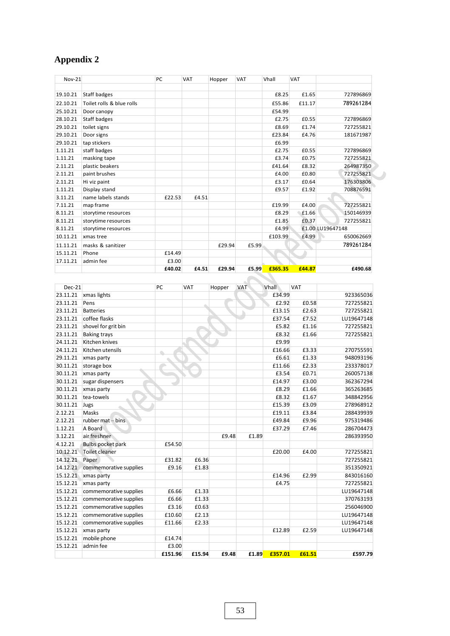### **Appendix 2**

| <b>Nov-21</b> |                           | PC     | <b>VAT</b> | Hopper | <b>VAT</b> | Vhall   | <b>VAT</b> |                         |
|---------------|---------------------------|--------|------------|--------|------------|---------|------------|-------------------------|
|               |                           |        |            |        |            |         |            |                         |
| 19.10.21      | Staff badges              |        |            |        |            | £8.25   | £1.65      | 727896869               |
| 22.10.21      | Toilet rolls & blue rolls |        |            |        |            | £55.86  | £11.17     | 789261284               |
| 25.10.21      | Door canopy               |        |            |        |            | £54.99  |            |                         |
| 28.10.21      | Staff badges              |        |            |        |            | £2.75   | £0.55      | 727896869               |
| 29.10.21      | toilet signs              |        |            |        |            | £8.69   | £1.74      | 727255821               |
| 29.10.21      | Door signs                |        |            |        |            | £23.84  | £4.76      | 181671987               |
| 29.10.21      | tap stickers              |        |            |        |            | £6.99   |            |                         |
| 1.11.21       | staff badges              |        |            |        |            | £2.75   | £0.55      | 727896869               |
| 1.11.21       | masking tape              |        |            |        |            | £3.74   | £0.75      | 727255821               |
| 2.11.21       | plastic beakers           |        |            |        |            | £41.64  | £8.32      | 264987350               |
| 2.11.21       | paint brushes             |        |            |        |            | £4.00   | £0.80      | 727255821               |
| 2.11.21       | Hi viz paint              |        |            |        |            | £3.17   | £0.64      | 176303806               |
| 1.11.21       | Display stand             |        |            |        |            | £9.57   | £1.92      | 708876591               |
| 3.11.21       | name labels stands        | £22.53 | £4.51      |        |            |         |            | $\scriptstyle\triangle$ |
| 7.11.21       | map frame                 |        |            |        |            | £19.99  | £4.00      | 727255821               |
| 8.11.21       | storytime resources       |        |            |        |            | £8.29   | £1.66      | 150146939               |
| 8.11.21       | storytime resources       |        |            |        |            | £1.85   | £0.37      | 727255821               |
| 8.11.21       | storytime resources       |        |            |        |            | £4.99   |            | £1.00 LU19647148        |
| 10.11.21      | xmas tree                 |        |            |        |            | £103.99 | £4.99      | 650062669               |
| 11.11.21      | masks & sanitizer         |        |            | £29.94 | £5.99      |         |            | 789261284               |
| 15.11.21      | Phone                     | £14.49 |            |        |            |         |            |                         |
| 17.11.21      | admin fee                 | £3.00  |            |        |            |         |            |                         |
|               |                           | £40.02 | £4.51      | £29.94 | £5.99      | £365.35 | £44.87     | £490.68                 |

| <b>Dec-21</b> |                          | PC      | <b>VAT</b> | Hopper | VAT   | Vhall   | <b>VAT</b> |            |
|---------------|--------------------------|---------|------------|--------|-------|---------|------------|------------|
| 23.11.21      | xmas lights              |         |            |        |       | £34.99  |            | 923365036  |
| 23.11.21      | Pens                     |         |            |        |       | £2.92   | £0.58      | 727255821  |
| 23.11.21      | <b>Batteries</b>         |         |            |        |       | £13.15  | £2.63      | 727255821  |
| 23.11.21      | coffee flasks            |         |            |        |       | £37.54  | £7.52      | LU19647148 |
| 23.11.21      | shovel for grit bin      |         |            |        |       | £5.82   | £1.16      | 727255821  |
| 23.11.21      | <b>Baking trays</b>      |         |            |        |       | £8.32   | £1.66      | 727255821  |
| 24.11.21      | Kitchen knives           |         |            |        |       | £9.99   |            |            |
| 24.11.21      | Kitchen utensils         | a.      |            |        |       | £16.66  | £3.33      | 270755591  |
| 29.11.21      | xmas party               |         |            |        |       | £6.61   | £1.33      | 948093196  |
| 30.11.21      | storage box              |         |            |        |       | £11.66  | £2.33      | 233378017  |
| 30.11.21      | xmas party               |         |            |        |       | £3.54   | £0.71      | 260057138  |
| 30.11.21      | sugar dispensers         |         |            |        |       | £14.97  | £3.00      | 362367294  |
| 30.11.21      | xmas party               |         |            |        |       | £8.29   | £1.66      | 365263685  |
| 30.11.21      | tea-towels               |         |            |        |       | £8.32   | £1.67      | 348842956  |
| 30.11.21      | Jugs                     |         |            |        |       | £15.39  | £3.09      | 278968912  |
| 2.12.21       | Masks                    |         |            |        |       | £19.11  | £3.84      | 288439939  |
| 2.12.21       | rubber mat - bins        |         |            |        |       | £49.84  | £9.96      | 975319486  |
| 1.12.21       | A Board                  |         |            |        |       | £37.29  | £7.46      | 286704473  |
| 3.12.21       | air freshner             |         |            | £9.48  | £1.89 |         |            | 286393950  |
| 4.12.21       | <b>Bulbs pocket park</b> | £54.50  |            |        |       |         |            |            |
| 10.12.21      | <b>Toilet cleaner</b>    |         |            |        |       | £20.00  | £4.00      | 727255821  |
| 14.12.21      | Paper                    | £31.82  | £6.36      |        |       |         |            | 727255821  |
| 14.12.21      | commemorative supplies   | £9.16   | £1.83      |        |       |         |            | 351350921  |
| 15.12.21      | xmas party               |         |            |        |       | £14.96  | £2.99      | 843016160  |
| 15.12.21      | xmas party               |         |            |        |       | £4.75   |            | 727255821  |
| 15.12.21      | commemorative supplies   | £6.66   | £1.33      |        |       |         |            | LU19647148 |
| 15.12.21      | commemorative supplies   | £6.66   | £1.33      |        |       |         |            | 370763193  |
| 15.12.21      | commemorative supplies   | £3.16   | £0.63      |        |       |         |            | 256046900  |
| 15.12.21      | commemorative supplies   | £10.60  | £2.13      |        |       |         |            | LU19647148 |
| 15.12.21      | commemorative supplies   | £11.66  | £2.33      |        |       |         |            | LU19647148 |
| 15.12.21      | xmas party               |         |            |        |       | £12.89  | £2.59      | LU19647148 |
| 15.12.21      | mobile phone             | £14.74  |            |        |       |         |            |            |
| 15.12.21      | admin fee                | £3.00   |            |        |       |         |            |            |
|               |                          | £151.96 | £15.94     | £9.48  | £1.89 | £357.01 | £61.51     | £597.79    |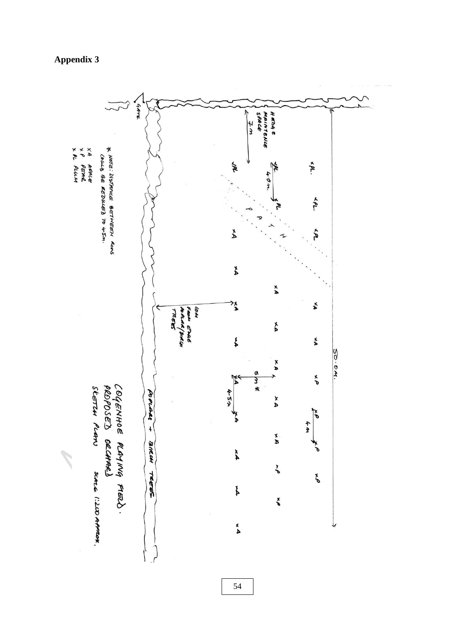## **Appendix 3**



54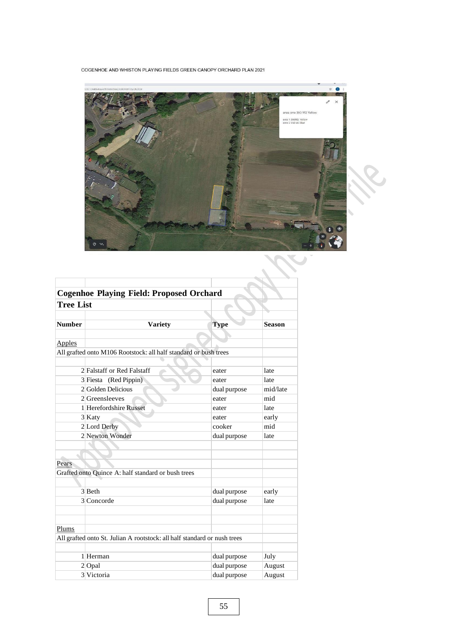COGENHOE AND WHISTON PLAYING FIELDS GREEN CANOPY ORCHARD PLAN 2021



|                  | <b>Cogenhoe Playing Field: Proposed Orchard</b>                          |              |               |
|------------------|--------------------------------------------------------------------------|--------------|---------------|
| <b>Tree List</b> |                                                                          |              |               |
|                  |                                                                          |              |               |
| <b>Number</b>    | <b>Variety</b>                                                           | <b>Type</b>  | <b>Season</b> |
|                  |                                                                          |              |               |
| <b>Apples</b>    |                                                                          |              |               |
|                  | All grafted onto M106 Rootstock: all half standard or bush trees         |              |               |
|                  |                                                                          |              |               |
|                  | 2 Falstaff or Red Falstaff                                               | eater        | late          |
|                  | 3 Fiesta (Red Pippin)                                                    | eater        | late          |
|                  | 2 Golden Delicious                                                       | dual purpose | mid/late      |
|                  | 2 Greensleeves                                                           | eater        | mid           |
|                  | 1 Herefordshire Russet                                                   | eater        | late          |
|                  | 3 Katy                                                                   | eater        | early         |
|                  | 2 Lord Derby                                                             | cooker       | mid           |
|                  | 2 Newton Wonder                                                          | dual purpose | late          |
|                  |                                                                          |              |               |
|                  |                                                                          |              |               |
| Pears            |                                                                          |              |               |
|                  | Grafted onto Quince A: half standard or bush trees                       |              |               |
|                  |                                                                          |              |               |
|                  | 3 Beth                                                                   | dual purpose | early         |
|                  | 3 Concorde                                                               | dual purpose | late          |
|                  |                                                                          |              |               |
|                  |                                                                          |              |               |
| Plums            |                                                                          |              |               |
|                  | All grafted onto St. Julian A rootstock: all half standard or nush trees |              |               |
|                  |                                                                          |              |               |
|                  | 1 Herman                                                                 | dual purpose | July          |
|                  | $2$ Opal                                                                 | dual purpose | August        |
|                  | 3 Victoria                                                               | dual purpose | August        |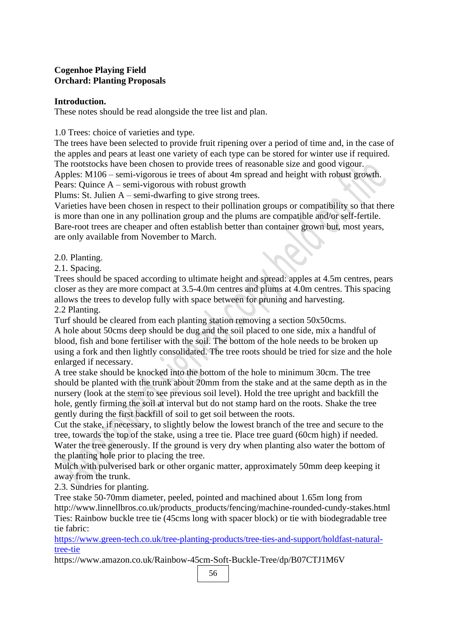### **Cogenhoe Playing Field Orchard: Planting Proposals**

#### **Introduction.**

These notes should be read alongside the tree list and plan.

1.0 Trees: choice of varieties and type.

The trees have been selected to provide fruit ripening over a period of time and, in the case of the apples and pears at least one variety of each type can be stored for winter use if required. The rootstocks have been chosen to provide trees of reasonable size and good vigour. Apples: M106 – semi-vigorous ie trees of about 4m spread and height with robust growth. Pears: Quince A – semi-vigorous with robust growth

Plums: St. Julien A – semi-dwarfing to give strong trees.

Varieties have been chosen in respect to their pollination groups or compatibility so that there is more than one in any pollination group and the plums are compatible and/or self-fertile. Bare-root trees are cheaper and often establish better than container grown but, most years, are only available from November to March.

2.0. Planting.

2.1. Spacing.

Trees should be spaced according to ultimate height and spread: apples at 4.5m centres, pears closer as they are more compact at 3.5-4.0m centres and plums at 4.0m centres. This spacing allows the trees to develop fully with space between for pruning and harvesting.

2.2 Planting.

Turf should be cleared from each planting station removing a section 50x50cms.

A hole about 50cms deep should be dug and the soil placed to one side, mix a handful of blood, fish and bone fertiliser with the soil. The bottom of the hole needs to be broken up using a fork and then lightly consolidated. The tree roots should be tried for size and the hole enlarged if necessary.

A tree stake should be knocked into the bottom of the hole to minimum 30cm. The tree should be planted with the trunk about 20mm from the stake and at the same depth as in the nursery (look at the stem to see previous soil level). Hold the tree upright and backfill the hole, gently firming the soil at interval but do not stamp hard on the roots. Shake the tree gently during the first backfill of soil to get soil between the roots.

Cut the stake, if necessary, to slightly below the lowest branch of the tree and secure to the tree, towards the top of the stake, using a tree tie. Place tree guard (60cm high) if needed. Water the tree generously. If the ground is very dry when planting also water the bottom of the planting hole prior to placing the tree.

Mulch with pulverised bark or other organic matter, approximately 50mm deep keeping it away from the trunk.

2.3. Sundries for planting.

Tree stake 50-70mm diameter, peeled, pointed and machined about 1.65m long from [http://www.linnellbros.co.uk/products\\_products/fencing/machine-rounded-cundy-stakes.html](http://www.linnellbros.co.uk/products_products/fencing/machine-rounded-cundy-stakes.html) Ties: Rainbow buckle tree tie (45cms long with spacer block) or tie with biodegradable tree tie fabric:

[https://www.green-tech.co.uk/tree-planting-products/tree-ties-and-support/holdfast-natural](https://www.green-tech.co.uk/tree-planting-products/tree-ties-and-support/holdfast-natural-tree-tie)[tree-tie](https://www.green-tech.co.uk/tree-planting-products/tree-ties-and-support/holdfast-natural-tree-tie)

https:[//www.amazon.co.uk/Rainbow-45cm-Soft-Buckle-Tree/dp/B07CTJ1M6V](http://www.amazon.co.uk/Rainbow-45cm-Soft-Buckle-Tree/dp/B07CTJ1M6V)

56